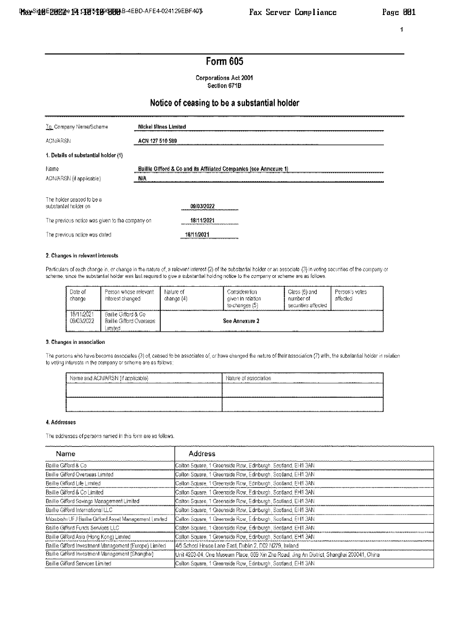### 1

# Form 605

**Corporations Act 2001** Section 671B

## Notice of ceasing to be a substantial holder

| To Company Name/Scheme                             | Nickel Mines Limited                                               |  |  |  |  |  |
|----------------------------------------------------|--------------------------------------------------------------------|--|--|--|--|--|
| <b>ACN/ARSN</b>                                    | ACN 127 510 589                                                    |  |  |  |  |  |
| 1. Details of substantial holder (1)               |                                                                    |  |  |  |  |  |
| Name                                               | Baillie Gifford & Co and its Affiliated Companies (see Annexure 1) |  |  |  |  |  |
| ACN/ARSN (if applicable)                           | ШΑ                                                                 |  |  |  |  |  |
| The holder ceased to be a<br>substantial holder on | 09/03/2022                                                         |  |  |  |  |  |
| The previous notice was given to the company on    | 18/11/2021                                                         |  |  |  |  |  |
| The previous notice was dated                      | 18/11/2021                                                         |  |  |  |  |  |

### 2. Changes in relevant interests

Particulars of each change in, or change in the nature of, a relevant interest (2) of the substantial holder or an associate (3) in voting securities of the company or scheme, since the substantial holder was last required to give a substantial holding notice to the company or scheme are as follows.

| Jate of<br>change        | -Person whose relevant<br>interest changed                        | Nature of<br>change (4) | . Jonsideration .<br>diven in relation<br>to changes (5) | Glass (6) and<br>number of<br>securities affected | Person's votes<br>affected |
|--------------------------|-------------------------------------------------------------------|-------------------------|----------------------------------------------------------|---------------------------------------------------|----------------------------|
| 18/11/2021<br>09/03/2022 | Baillie Gifford & Co-<br><b>Baillie Gifford Overseas</b><br>нинес | <b>ALC: 1989</b><br>    | See Annexure 2<br>                                       |                                                   |                            |

#### 3. Changes in association

The persons who have become associates (3) of, ceased to be associates of, or have changed the nature of their association (7) with, the substantial holder in relation to voting interests in the company or scheme are as follows;

| Name and ACN/ARSN (if applicable)<br>.<br>. | Nature of association<br> |
|---------------------------------------------|---------------------------|
|                                             |                           |
|                                             |                           |
|                                             |                           |

### 4. Addresses

The addresses of persons named in this form are as follows.

| Name                                                    | Address                                                                                     |
|---------------------------------------------------------|---------------------------------------------------------------------------------------------|
| Baillie Gifford & Co.                                   | Calton Square, 1 Greenside Row, Edinburgh, Scoffand, EH1 3AN                                |
| Baillie Gifford Overseas Limited                        | Calton Square, 1 Greenside Row, Edinburgh, Scotland, EH1 3AN                                |
| Baillie Gifford Life Limited                            | Calton Square, 1 Greenside Row, Edinburgh, Scotland, EH1 3AN                                |
| Baillie Gifford & Co Limited                            | Calton Square, 1 Greenside Row, Edinburgh, Scotland, EH1 3AN                                |
| Baillie Gifford Savings Management Limited              | Calton Square, 1 Greenside Row, Edinburgh, Scotland, EM1 3AN                                |
| Baillie Gifford International LLC                       | Calton Square, 1 Greenside Row, Edinburgh, Scotland, EH1 3AN                                |
| Milsubishi UFJ Baillie Gifford Asset Management Limited | Callon Square, 1 Greenside Row, Edinburgh, Scolland, EH1 3AN.                               |
| Baillie Gifford Funds Services LLC                      | Calton Square, 1 Greenside Row, Edinburgh, Scotland, EH1 3AN                                |
| Baillie Gifford Asia (Hong Kong) Limited                | Calton Square, 1 Greenside Row, Edinburgh, Scotland, EH1 3AN                                |
| Baillie Gifford Investment Management (Europe) Limited  | 4/5 School House Lane East, Dublin 2, D02 N279, Ireland                                     |
| Baillie Gifford Investment Management (Shanghai)        | Unit 4203-04, One Museum Place, 669 Xin Zha Road, Jing An District, Shanghai 200041, China. |
| Baillie Gifford Services Limited                        | Callon Square, 1 Greenside Row, Edinburgh, Scotland, EH1 3AN.                               |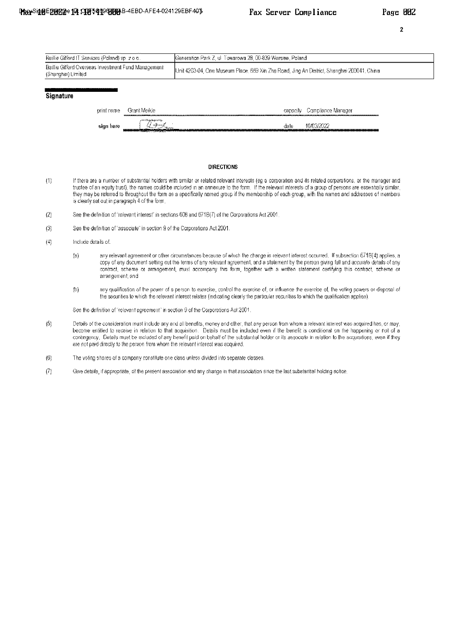arrangement; and

 $(b)$ 

 $(5)$ 

 $\overline{2}$ 

|                    | Baillie Gifford IT Services (Poland) sp. z o o. |                                                                              | Generation Park Z, ul. Towarowa 28, 00-839 Warsaw, Poland.                                                                                                                                                                                                                                                                                                                                                                                                                                             |  |  |
|--------------------|-------------------------------------------------|------------------------------------------------------------------------------|--------------------------------------------------------------------------------------------------------------------------------------------------------------------------------------------------------------------------------------------------------------------------------------------------------------------------------------------------------------------------------------------------------------------------------------------------------------------------------------------------------|--|--|
| (Shanghar) Limited |                                                 | Baillie Gifford Overseas Investment Fund Management                          | Unit 4203-04, One Museum Place, 669 Xin Zha Road, Jing An District, Shanghai 200041, China.                                                                                                                                                                                                                                                                                                                                                                                                            |  |  |
| Signature          |                                                 |                                                                              |                                                                                                                                                                                                                                                                                                                                                                                                                                                                                                        |  |  |
|                    |                                                 | Grant Meikle<br>print name                                                   | Compliance Manager<br>capacity                                                                                                                                                                                                                                                                                                                                                                                                                                                                         |  |  |
|                    |                                                 | Den Linguest by<br>sign here                                                 | 10/03/2022<br>dale                                                                                                                                                                                                                                                                                                                                                                                                                                                                                     |  |  |
| (1)                |                                                 | is clearly set out in paragraph 4 of the form.                               | <b>DIRECTIONS</b><br>If there are a number of substantial holders with similar or related relevant interests (eq a corporation and its related corporations, or the manager and<br>trustee of an equity trust), the names could be included in an annexure to the form. If the relevant interests of a group of persons are essentially similar,<br>they may be referred to throughout the form as a specifically named group if the membership of each group, with the names and addresses of members |  |  |
| $\{2\}$            |                                                 |                                                                              | See the definition of frelevant interest" in sections 608 and 6718(7) of the Corporations Act 2001.                                                                                                                                                                                                                                                                                                                                                                                                    |  |  |
| (3)                |                                                 | See the definition of "associate" in section 9 of the Corporations Act 2001. |                                                                                                                                                                                                                                                                                                                                                                                                                                                                                                        |  |  |
| (4)                | Include details of:                             |                                                                              |                                                                                                                                                                                                                                                                                                                                                                                                                                                                                                        |  |  |
|                    | (a)                                             |                                                                              | any relevant agreement or other circumstances because of which the change in relevant interest occurred. If subsection 671B(4) applies, a<br>copy of any document setting out the terms of any relevant agreement, and a statement by the person giving full and accurate details of any                                                                                                                                                                                                               |  |  |

contract, scheme or arrangement, must accompany this form, together with a written statement certifying this contract, scheme or

any qualification of the power of a person to exercise, control the exercise of, or influence the exercise of, the voting powers or disposal of

the securities to which the relevant interest relates (indicating clearly the particular securities to which the qualification applies).

Details of the consideration must include any and all benefits, money and other, that any person from whom a relevant interest was acquired has, or may,

become entitled to receive in relation to that acquisition. Details must be included even if the benefit is conditional on the happening or not of a contingency. Details must be included of any benefit paid on behalf of the substantial holder or its associate in relation to the acquisitions, even if they

- The voting shares of a company constitute one class unless divided into separate classes.  $(6)$
- Give details, if appropriate, of the present association and any change in that association since the last substantial holding notice.  $(7)$

See the definition of "relevant agreement" in section 9 of the Corporations Act 2001.

are not paid directly to the person from whom the relevant interest was acquired.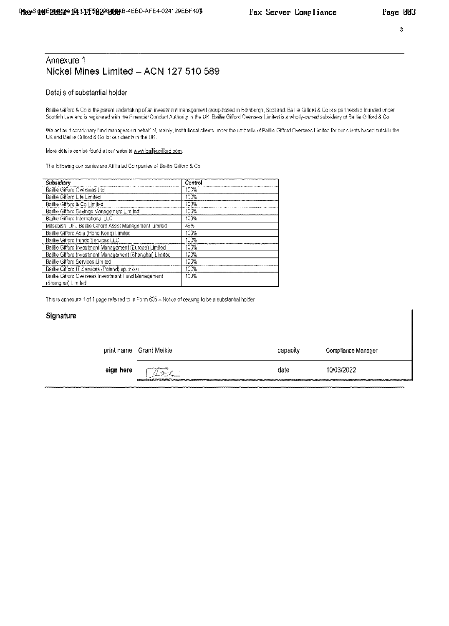## Annexure 1 Nickel Mines Limited - ACN 127 510 589

## Details of substantial holder

Baillie Gifford & Co is the parent undertaking of an investment management group based in Edinburgh, Scotland. Baillie Gifford & Co is a partnership founded under Scottish Law and is registered with the Financial Conduct Authority in the UK. Baillie Gifford Overseas Limited is a wholly-owned subsidiary of Baillie Gifford & Co.

We act as discretionary fund managers on behalf of, mainly, institutional clients under the umbrella of Baillie Gifford Overseas Limited for our clients based outside the<br>UK and Baillie Gifford & Co for our clients in the

More details can be found at our website www.bailliegifford.com.

The following companies are Affiliated Companies of Baillie Gifford & Co.

| Subsidiary                                               | Control |
|----------------------------------------------------------|---------|
| Baillie Gifford Overseas Ltd                             | 100%    |
| Baillie Gifford Life Limited                             | 100%    |
| Baillie Gifford & Co Limited                             | 100%    |
| Baillie Gifford Savings Management Limited               | 100%    |
| Baillie Gifford International LLC                        | 100%    |
| Mitsubishi UFJ Baillie Gifford Asset Management Limited  | 49%     |
| Baillie Gifford Asia (Hong Kong) Limited                 | 100%    |
| Baillie Gifford Funds Services LLC                       | 100%    |
| Baillie Gifford Investment Management (Europe) Limited   | 100%    |
| Baillie Gifford Investment Management (Shanghai) Limited | 100%    |
| Baillie Gifford Services Limited                         | 100%    |
| Baillie Gifford IT Services (Poland) sp. 2 o.o.          | 100%    |
| Baillie Gifford Overseas Investment Fund Management      | 100%    |
| (Shanghai) Limited                                       |         |

This is annexure 1 of 1 page referred to in Form 605 - Notice of ceasing to be a substantial holder

### Signature

| print name | Grant Meikie                                                                                                      | capacity | Compliance Manager |
|------------|-------------------------------------------------------------------------------------------------------------------|----------|--------------------|
| sign here  | committee constitutional lists<br>me process<br><b>Continued by American</b><br>manusculumud1254420882000600ammuu | date     | 10/03/2022         |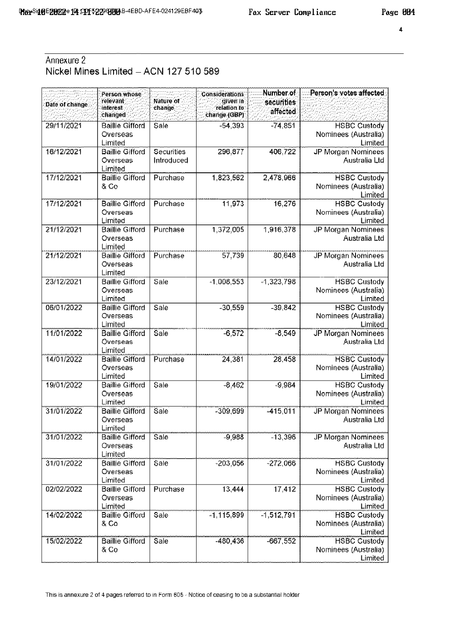$\ddot{\phantom{1}}$ 

# Annexure 2 Nickel Mines Limited - ACN 127 510 589

| Date of change: | Person whose<br>relevant<br>interest<br>changed | Nature of<br>change      | Considerations<br>qiven in<br>relation to<br>change (GBP) | Number of<br>securities<br>affected | :Person's votes affectedੁ                              |
|-----------------|-------------------------------------------------|--------------------------|-----------------------------------------------------------|-------------------------------------|--------------------------------------------------------|
| 29/11/2021      | <b>Baillie Gifford</b><br>Overseas<br>Limited   | Sale                     | $-54.393$                                                 | $-74,851$                           | <b>HSBC Custody</b><br>Nominees (Australia)<br>Limited |
| 16/12/2021      | <b>Baillie Gifford</b><br>Overseas<br>Limited   | Securities<br>Introduced | 296,877                                                   | 406,722                             | JP Morgan Nominees<br>Australia Ltd                    |
| 17/12/2021      | <b>Baillie Gifford</b><br>& Co                  | Purchase                 | 1,823,562                                                 | 2,478,966                           | <b>HSBC Custody</b><br>Nominees (Australia)<br>Limited |
| 17/12/2021      | <b>Baillie Gifford</b><br>Overseas<br>Limited   | Purchase                 | 11.973                                                    | 16,276                              | <b>HSBC Custody</b><br>Nominees (Australia)<br>Limited |
| 21/12/2021      | <b>Baillie Gifford</b><br>Overseas<br>Limited   | Purchase                 | 1,372,005                                                 | 1,916,378                           | JP Morgan Nominees<br>Australia Ltd                    |
| 21/12/2021      | <b>Baillie Gifford</b><br>Overseas<br>Limited   | Purchase                 | 57,739                                                    | 80,648                              | <b>JP Morgan Nominees</b><br>Australia Ltd             |
| 23/12/2021      | <b>Baillie Gifford</b><br>Overseas<br>Limited   | Sale                     | $-1.008,553$                                              | $-1,323,798$                        | <b>HSBC Custody</b><br>Nominees (Australia)<br>Limited |
| 06/01/2022      | <b>Baillie Gifford</b><br>Overseas<br>Limited   | Sale                     | $-30,559$                                                 | $-39,842$                           | <b>HSBC Custody</b><br>Nominees (Australia)<br>Limited |
| 11/01/2022      | <b>Baillie Gifford</b><br>Overseas<br>Limited   | Sale                     | $-6,572$                                                  | $-8,549$                            | JP Morgan Nominees<br>Australia Ltd                    |
| 14/01/2022      | <b>Baillie Gifford</b><br>Overseas<br>Limited   | Purchase                 | 24,381                                                    | 28,458                              | <b>HSBC Custody</b><br>Nominees (Australia)<br>Limited |
| 19/01/2022      | <b>Baillie Gifford</b><br>Overseas<br>Limited   | Sale                     | $-8.462$                                                  | $-9,984$                            | <b>HSBC Custody</b><br>Nominees (Australia)<br>Limited |
| 31/01/2022      | <b>Baillie Gifford</b><br>Overseas<br>Limited   | Sale                     | $-309,699$                                                | $-415,011$                          | <b>JP Morgan Nominees</b><br>Australia Ltd             |
| 31/01/2022      | <b>Baillie Gifford</b><br>Overseas<br>Limited   | Sale                     | $-9,988$                                                  | $-13,396$                           | JP Morgan Nominees<br>Australia Ltd                    |
| 31/01/2022      | <b>Baillie Gifford</b><br>Overseas<br>Limited   | Sale                     | $-203.056$                                                | $-272,066$                          | <b>HSBC Custody</b><br>Nominees (Australia)<br>Limited |
| 02/02/2022      | <b>Baillie Gifford</b><br>Overseas<br>Limited   | Purchase                 | 13 4 44                                                   | 17,412                              | <b>HSBC Custody</b><br>Nominees (Australia)<br>Limited |
| 14/02/2022      | <b>Baillie Gifford</b><br>8 Co                  | Sale                     | $-1,115,899$                                              | $-1,512,791$                        | <b>HSBC Custody</b><br>Nominees (Australia)<br>Limited |
| 15/02/2022      | <b>Baillie Gifford</b><br>8 Co                  | Sale                     | $-480,436$                                                | $-667,552$                          | <b>HSBC Custody</b><br>Nominees (Australia)<br>Limited |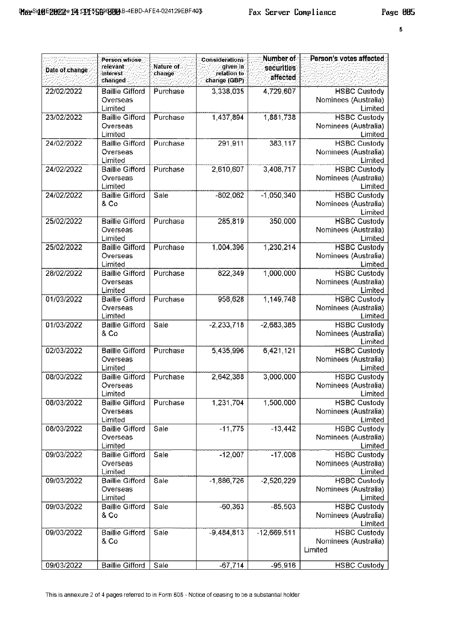$\overline{\mathbf{s}}$ 

|                | Person whose                       |                     | <b>Considerations</b>                   | Number of              | Person's votes affected:                    |
|----------------|------------------------------------|---------------------|-----------------------------------------|------------------------|---------------------------------------------|
| Date of change | relevant<br>interest.<br>changed   | Nature of<br>change | given in<br>relation to<br>change (GBP) | securities<br>affected |                                             |
| 22/02/2022     | <b>Baillie Gifford</b>             | Purchase            | 3,338,035                               | 4,729,607              | <b>HSBC Custody</b>                         |
|                | Overseas<br>Limited                |                     |                                         |                        | Nominees (Australia)<br>Limited             |
| 23/02/2022     | <b>Baillie Gifford</b>             | Purchase            | 1437.894                                | 1,881,738              | <b>HSBC Custody</b>                         |
|                | Overseas<br>Limited                |                     |                                         |                        | Nominees (Australia)<br>Limited             |
| 24/02/2022     | <b>Baillie Gifford</b><br>Overseas | Purchase            | 291.911                                 | 383,117                | <b>HSBC Custody</b><br>Nominees (Australia) |
|                | Limited                            |                     |                                         |                        | Limited                                     |
| 24/02/2022     | <b>Baillie Gifford</b>             | Purchase            | 2,610,607                               | 3,408,717              | <b>HSBC Custody</b>                         |
|                | Overseas<br>Limited                |                     |                                         |                        | Nominees (Australia)<br>Limited             |
| 24/02/2022     | <b>Baillie Gifford</b>             | Sale                | $-802.062$                              | $-1,050,340$           | <b>HSBC Custody</b>                         |
|                | 8 Co                               |                     |                                         |                        | Nominees (Australia)<br>Limited             |
| 25/02/2022     | <b>Baillie Gifford</b>             | Purchase            | 285.819                                 | 350,000                | <b>HSBC Custody</b>                         |
|                | Overseas<br>Limited                |                     |                                         |                        | Nominees (Australia)<br>Limited             |
| 25/02/2022     | <b>Baillie Gifford</b>             | Purchase            | 1004 396                                | 1,230,214              | <b>HSBC Custody</b>                         |
|                | Overseas                           |                     |                                         |                        | Nominees (Australia)                        |
|                | Limited                            |                     |                                         |                        | Limited                                     |
| 28/02/2022     | <b>Baillie Gifford</b><br>Overseas | Purchase            | 822,349                                 | 1,000,000              | <b>HSBC Custody</b><br>Nominees (Australia) |
|                | Limited                            |                     |                                         |                        | Limited                                     |
| 01/03/2022     | <b>Baillie Gifford</b>             | Purchase            | 958,628                                 | 1,149,748              | <b>HSBC Custody</b>                         |
|                | Overseas<br>Limited                |                     |                                         |                        | Nominees (Australia)<br>Limited             |
| 01/03/2022     | <b>Baillie Gifford</b>             | Sale                | -2.233.718                              | $-2,683,385$           | <b>HSBC Custody</b>                         |
|                | & Co                               |                     |                                         |                        | Nominees (Australia)<br>Limited             |
| 02/03/2022     | <b>Baillie Gifford</b>             | Purchase            | 5,435,996                               | 6,421,121              | <b>HSBC Custody</b>                         |
|                | Overseas<br>Limited                |                     |                                         |                        | Nominees (Australia)<br>Limited             |
| 08/03/2022     | <b>Baillie Gifford</b>             | Purchase            | 2,642,388                               | 3,000,000              | <b>HSBC Custody</b>                         |
|                | Overseas                           |                     |                                         |                        | Nominees (Australia)                        |
|                | Limited                            |                     |                                         |                        | Limited                                     |
| 08/03/2022     | <b>Baillie Gifford</b>             | Purchase            | 1,231,704                               | 1,500,000              | <b>HSBC Custody</b>                         |
|                | Overseas<br>Limited                |                     |                                         |                        | Nominees (Australia)<br>Limited             |
| 08/03/2022     | <b>Baillie Gifford</b>             | Sale                | $-11775$                                | $-13,442$              | <b>HSBC Custody</b>                         |
|                | Overseas<br>Limited                |                     |                                         |                        | Nominees (Australia)<br>Limited             |
| 09/03/2022     | <b>Baillie Gifford</b>             | Sale                | $-12,007$                               | $-17,008$              | <b>HSBC Custody</b>                         |
|                | Overseas<br>Limited                |                     |                                         |                        | Nominees (Australia)<br>Limited             |
| 09/03/2022     | <b>Baillie Gifford</b>             | Sale                | $-1,886,726$                            | $-2,520,229$           | <b>HSBC Custody</b>                         |
|                | Overseas<br>Limited                |                     |                                         |                        | Nominees (Australia)<br>Limited             |
| 09/03/2022     | <b>Baillie Gifford</b>             | Sale                | $-60.363$                               | $-85,503$              | <b>HSBC Custody</b>                         |
|                | 8 Co                               |                     |                                         |                        | Nominees (Australia)<br>Limited             |
| 09/03/2022     | <b>Baillie Gifford</b>             | Sale                | $-9,484,813$                            | $-12,669,511$          | <b>HSBC Custody</b>                         |
|                | & Co                               |                     |                                         |                        | Nominees (Australia)<br>Limited             |
| 09/03/2022     | <b>Baillie Gifford</b>             | Sale                | $-67,714$                               | $-95,916$              | <b>HSBC Custody</b>                         |
|                |                                    |                     |                                         |                        |                                             |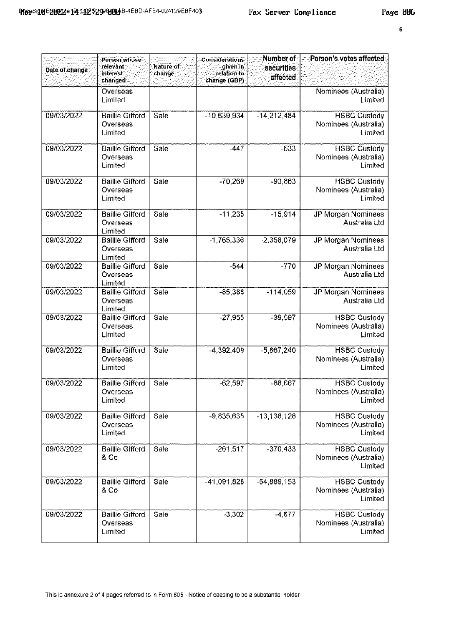|                | Person whose                                  |                     | Considerations                           | Number of              | Person's votes affected                                |
|----------------|-----------------------------------------------|---------------------|------------------------------------------|------------------------|--------------------------------------------------------|
| Date of change | relevant<br><b>interest</b><br>changed        | Nature of<br>change | ≍qiven∃n′<br>relation to<br>change (GBP) | securities<br>affected |                                                        |
|                | Overseas<br>Limited                           |                     |                                          |                        | Nominees (Australia)<br>Limited                        |
| 09/03/2022     | <b>Baillie Gifford</b><br>Overseas<br>Limited | Sale                | $-10,639,934$                            | $-14,212,484$          | <b>HSBC Custody</b><br>Nominees (Australia)<br>Limited |
| 09/03/2022     | <b>Baillie Gifford</b><br>Overseas<br>Limited | Sale                | $-447$                                   | $-633$                 | <b>HSBC Custody</b><br>Nominees (Australia)<br>Limited |
| 09/03/2022     | <b>Baillie Gifford</b><br>Overseas<br>Limited | Sale                | $-70,269$                                | $-93,863$              | <b>HSBC Custody</b><br>Nominees (Australia)<br>Limited |
| 09/03/2022     | <b>Baillie Gifford</b><br>Overseas<br>Limited | Sale                | $-11.235$                                | $-15,914$              | JP Morgan Nominees<br>Australia Ltd                    |
| 09/03/2022     | <b>Baillie Gifford</b><br>Overseas<br>Limited | Sale                | -1 765,336                               | $-2,358,079$           | JP Morgan Nominees<br>Australia Ltd                    |
| 09/03/2022     | <b>Baillie Gifford</b><br>Overseas<br>Limited | Sale                | $-544$                                   | $-770$                 | <b>JP Morgan Nominees</b><br>Australia Ltd             |
| 09/03/2022     | <b>Baillie Gifford</b><br>Overseas<br>Limited | Sale                | $-85,388$                                | $-114,059$             | <b>JP Morgan Nominees</b><br>Australia Ltd             |
| 09/03/2022     | <b>Baillie Gifford</b><br>Overseas<br>Limited | Sale                | $-27.955$                                | $-39,597$              | <b>HSBC Custody</b><br>Nominees (Australia)<br>Limited |
| 09/03/2022     | <b>Baillie Gifford</b><br>Overseas<br>Limited | Sale                | $-4,392,409$                             | $-5,867,240$           | <b>HSBC Custody</b><br>Nominees (Australia)<br>Limited |
| 09/03/2022     | <b>Baillie Gifford</b><br>Overseas<br>Limited | Sale                | $-62,597$                                | $-88,667$              | <b>HSBC Custody</b><br>Nominees (Australia)<br>Limited |
| 09/03/2022     | <b>Baillie Gifford</b><br>Overseas<br>Limited | Sale                | -9.835,635                               | $-13,138,128$          | <b>HSBC Custody</b><br>Nominees (Australia)<br>Limited |
| 09/03/2022     | <b>Baillie Gifford</b><br>8 Co                | Sale                | $-261.517$                               | $-370,433$             | <b>HSBC Custody</b><br>Nominees (Australia)<br>Limited |
| 09/03/2022     | <b>Baillie Gifford</b><br>8 Co                | Sale                | $-41,091,828$                            | $-54,889,153$          | <b>HSBC Custody</b><br>Nominees (Australia)<br>Limited |
| 09/03/2022     | <b>Baillie Gifford</b><br>Overseas<br>Limited | Sale                | $-3,302$                                 | $-4,677$               | <b>HSBC Custody</b><br>Nominees (Australia)<br>Limited |